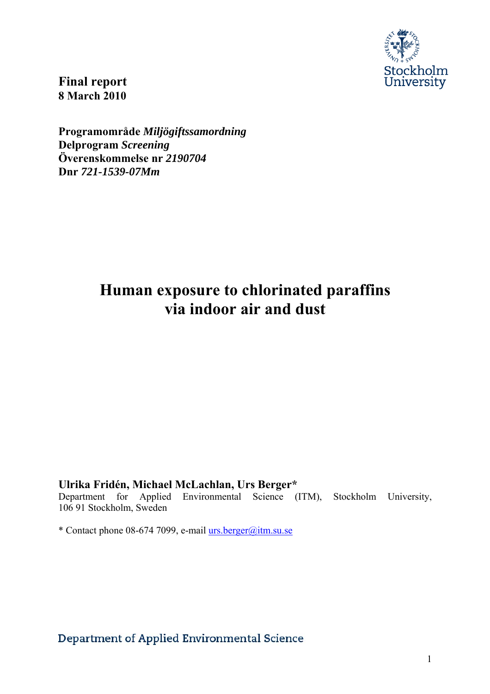

**Final report 8 March 2010** 

**Programområde** *Miljögiftssamordning*  **Delprogram** *Screening*  **Överenskommelse nr** *2190704*  **Dnr** *721-1539-07Mm* 

# **Human exposure to chlorinated paraffins via indoor air and dust**

**Ulrika Fridén, Michael McLachlan, Urs Berger\*** 

Department for Applied Environmental Science (ITM), Stockholm University, 106 91 Stockholm, Sweden

\* Contact phone 08-674 7099, e-mail urs.berger@itm.su.se

Department of Applied Environmental Science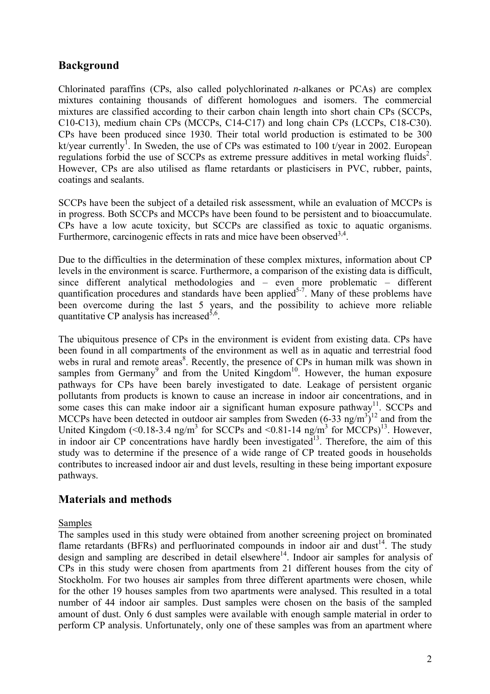# **Background**

Chlorinated paraffins (CPs, also called polychlorinated *n*-alkanes or PCAs) are complex mixtures containing thousands of different homologues and isomers. The commercial mixtures are classified according to their carbon chain length into short chain CPs (SCCPs, C10-C13), medium chain CPs (MCCPs, C14-C17) and long chain CPs (LCCPs, C18-C30). CPs have been produced since 1930. Their total world production is estimated to be 300 kt/year currently<sup>1</sup>. In Sweden, the use of CPs was estimated to 100 t/year in 2002. European regulations forbid the use of SCCPs as extreme pressure additives in metal working fluids<sup>2</sup>. However, CPs are also utilised as flame retardants or plasticisers in PVC, rubber, paints, coatings and sealants.

SCCPs have been the subject of a detailed risk assessment, while an evaluation of MCCPs is in progress. Both SCCPs and MCCPs have been found to be persistent and to bioaccumulate. CPs have a low acute toxicity, but SCCPs are classified as toxic to aquatic organisms. Furthermore, carcinogenic effects in rats and mice have been observed  $3,4$ .

Due to the difficulties in the determination of these complex mixtures, information about CP levels in the environment is scarce. Furthermore, a comparison of the existing data is difficult, since different analytical methodologies and – even more problematic – different quantification procedures and standards have been applied<sup>5-7</sup>. Many of these problems have been overcome during the last 5 years, and the possibility to achieve more reliable quantitative CP analysis has increased<sup>5,6</sup>.

The ubiquitous presence of CPs in the environment is evident from existing data. CPs have been found in all compartments of the environment as well as in aquatic and terrestrial food webs in rural and remote areas<sup>8</sup>. Recently, the presence of CPs in human milk was shown in samples from Germany<sup>9</sup> and from the United Kingdom<sup>10</sup>. However, the human exposure pathways for CPs have been barely investigated to date. Leakage of persistent organic pollutants from products is known to cause an increase in indoor air concentrations, and in some cases this can make indoor air a significant human exposure pathway<sup>11</sup>. SCCPs and MCCPs have been detected in outdoor air samples from Sweden  $(6-33 \text{ ng/m}^3)^{12}$  and from the United Kingdom (<0.18-3.4 ng/m<sup>3</sup> for SCCPs and <0.81-14 ng/m<sup>3</sup> for MCCPs)<sup>13</sup>. However, in indoor air  $CP$  concentrations have hardly been investigated<sup>13</sup>. Therefore, the aim of this study was to determine if the presence of a wide range of CP treated goods in households contributes to increased indoor air and dust levels, resulting in these being important exposure pathways.

# **Materials and methods**

## Samples

The samples used in this study were obtained from another screening project on brominated flame retardants (BFRs) and perfluorinated compounds in indoor air and dust<sup>14</sup>. The study design and sampling are described in detail elsewhere<sup>14</sup>. Indoor air samples for analysis of CPs in this study were chosen from apartments from 21 different houses from the city of Stockholm. For two houses air samples from three different apartments were chosen, while for the other 19 houses samples from two apartments were analysed. This resulted in a total number of 44 indoor air samples. Dust samples were chosen on the basis of the sampled amount of dust. Only 6 dust samples were available with enough sample material in order to perform CP analysis. Unfortunately, only one of these samples was from an apartment where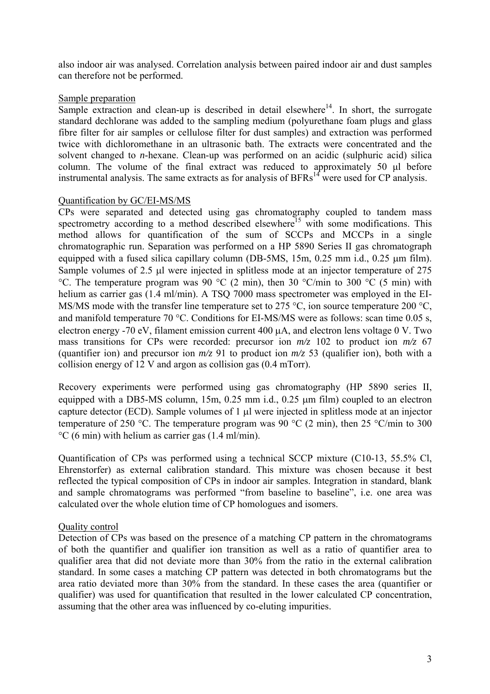also indoor air was analysed. Correlation analysis between paired indoor air and dust samples can therefore not be performed.

### Sample preparation

Sample extraction and clean-up is described in detail elsewhere<sup>14</sup>. In short, the surrogate standard dechlorane was added to the sampling medium (polyurethane foam plugs and glass fibre filter for air samples or cellulose filter for dust samples) and extraction was performed twice with dichloromethane in an ultrasonic bath. The extracts were concentrated and the solvent changed to *n*-hexane. Clean-up was performed on an acidic (sulphuric acid) silica column. The volume of the final extract was reduced to approximately 50 μl before instrumental analysis. The same extracts as for analysis of  $BFRs<sup>14</sup>$  were used for CP analysis.

#### Quantification by GC/EI-MS/MS

CPs were separated and detected using gas chromatography coupled to tandem mass spectrometry according to a method described elsewhere<sup>15</sup> with some modifications. This method allows for quantification of the sum of SCCPs and MCCPs in a single chromatographic run. Separation was performed on a HP 5890 Series II gas chromatograph equipped with a fused silica capillary column (DB-5MS, 15m, 0.25 mm i.d., 0.25 µm film). Sample volumes of 2.5 μl were injected in splitless mode at an injector temperature of 275 °C. The temperature program was 90 °C (2 min), then 30 °C/min to 300 °C (5 min) with helium as carrier gas (1.4 ml/min). A TSQ 7000 mass spectrometer was employed in the EI-MS/MS mode with the transfer line temperature set to 275 °C, ion source temperature 200 °C, and manifold temperature 70 °C. Conditions for EI-MS/MS were as follows: scan time 0.05 s, electron energy -70 eV, filament emission current 400 μA, and electron lens voltage 0 V. Two mass transitions for CPs were recorded: precursor ion *m/z* 102 to product ion *m/z* 67 (quantifier ion) and precursor ion  $m/z$  91 to product ion  $m/z$  53 (qualifier ion), both with a collision energy of 12 V and argon as collision gas (0.4 mTorr).

Recovery experiments were performed using gas chromatography (HP 5890 series II, equipped with a DB5-MS column, 15m, 0.25 mm i.d., 0.25 μm film) coupled to an electron capture detector (ECD). Sample volumes of 1 μl were injected in splitless mode at an injector temperature of 250 °C. The temperature program was 90 °C (2 min), then 25 °C/min to 300 °C (6 min) with helium as carrier gas (1.4 ml/min).

Quantification of CPs was performed using a technical SCCP mixture (C10-13, 55.5% Cl, Ehrenstorfer) as external calibration standard. This mixture was chosen because it best reflected the typical composition of CPs in indoor air samples. Integration in standard, blank and sample chromatograms was performed "from baseline to baseline", i.e. one area was calculated over the whole elution time of CP homologues and isomers.

## Quality control

Detection of CPs was based on the presence of a matching CP pattern in the chromatograms of both the quantifier and qualifier ion transition as well as a ratio of quantifier area to qualifier area that did not deviate more than 30% from the ratio in the external calibration standard. In some cases a matching CP pattern was detected in both chromatograms but the area ratio deviated more than 30% from the standard. In these cases the area (quantifier or qualifier) was used for quantification that resulted in the lower calculated CP concentration, assuming that the other area was influenced by co-eluting impurities.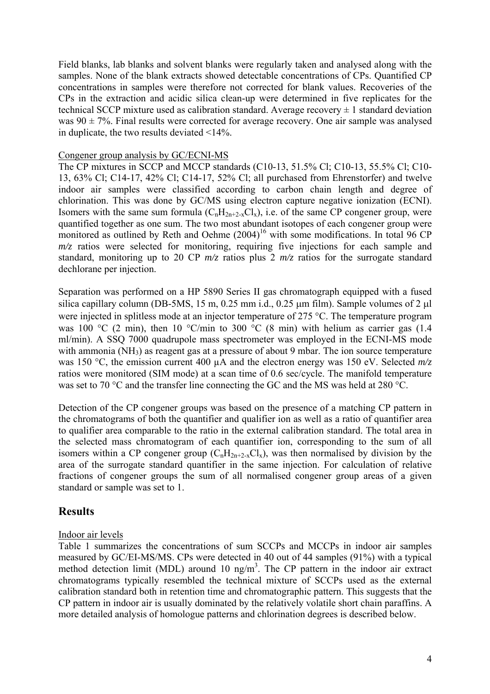Field blanks, lab blanks and solvent blanks were regularly taken and analysed along with the samples. None of the blank extracts showed detectable concentrations of CPs. Quantified CP concentrations in samples were therefore not corrected for blank values. Recoveries of the CPs in the extraction and acidic silica clean-up were determined in five replicates for the technical SCCP mixture used as calibration standard. Average recovery  $\pm 1$  standard deviation was  $90 \pm 7\%$ . Final results were corrected for average recovery. One air sample was analysed in duplicate, the two results deviated <14%.

#### Congener group analysis by GC/ECNI-MS

The CP mixtures in SCCP and MCCP standards (C10-13, 51.5% Cl; C10-13, 55.5% Cl; C10- 13, 63% Cl; C14-17, 42% Cl; C14-17, 52% Cl; all purchased from Ehrenstorfer) and twelve indoor air samples were classified according to carbon chain length and degree of chlorination. This was done by GC/MS using electron capture negative ionization (ECNI). Isomers with the same sum formula  $(C_nH_{2n+2-x}Cl_x)$ , i.e. of the same CP congener group, were quantified together as one sum. The two most abundant isotopes of each congener group were monitored as outlined by Reth and Oehme  $(2004)^{16}$  with some modifications. In total 96 CP *m/z* ratios were selected for monitoring, requiring five injections for each sample and standard, monitoring up to 20 CP  $m/z$  ratios plus 2  $m/z$  ratios for the surrogate standard dechlorane per injection.

Separation was performed on a HP 5890 Series II gas chromatograph equipped with a fused silica capillary column (DB-5MS, 15 m, 0.25 mm i.d., 0.25  $\mu$ m film). Sample volumes of 2  $\mu$ l were injected in splitless mode at an injector temperature of 275 °C. The temperature program was 100 °C (2 min), then 10 °C/min to 300 °C (8 min) with helium as carrier gas (1.4 ml/min). A SSQ 7000 quadrupole mass spectrometer was employed in the ECNI-MS mode with ammonia  $(NH_3)$  as reagent gas at a pressure of about 9 mbar. The ion source temperature was 150 °C, the emission current 400 µA and the electron energy was 150 eV. Selected *m/z* ratios were monitored (SIM mode) at a scan time of 0.6 sec/cycle. The manifold temperature was set to 70 °C and the transfer line connecting the GC and the MS was held at 280 °C.

Detection of the CP congener groups was based on the presence of a matching CP pattern in the chromatograms of both the quantifier and qualifier ion as well as a ratio of quantifier area to qualifier area comparable to the ratio in the external calibration standard. The total area in the selected mass chromatogram of each quantifier ion, corresponding to the sum of all isomers within a CP congener group  $(C_nH_{2n+2-x}Cl_x)$ , was then normalised by division by the area of the surrogate standard quantifier in the same injection. For calculation of relative fractions of congener groups the sum of all normalised congener group areas of a given standard or sample was set to 1.

## **Results**

## Indoor air levels

Table 1 summarizes the concentrations of sum SCCPs and MCCPs in indoor air samples measured by GC/EI-MS/MS. CPs were detected in 40 out of 44 samples (91%) with a typical method detection limit (MDL) around 10 ng/m<sup>3</sup>. The CP pattern in the indoor air extract chromatograms typically resembled the technical mixture of SCCPs used as the external calibration standard both in retention time and chromatographic pattern. This suggests that the CP pattern in indoor air is usually dominated by the relatively volatile short chain paraffins. A more detailed analysis of homologue patterns and chlorination degrees is described below.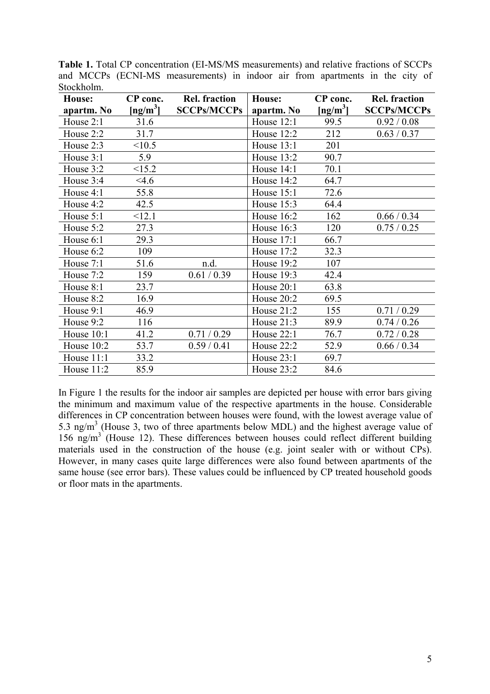| House:       | CP conc.                                    | <b>Rel. fraction</b> | House:            | CP conc.                     | <b>Rel. fraction</b> |
|--------------|---------------------------------------------|----------------------|-------------------|------------------------------|----------------------|
| apartm. No   | $\left[\frac{\text{ng}}{\text{m}^3}\right]$ | <b>SCCPs/MCCPs</b>   | apartm. No        | $\left[\text{ng/m}^3\right]$ | <b>SCCPs/MCCPs</b>   |
| House 2:1    | 31.6                                        |                      | <b>House 12:1</b> | 99.5                         | 0.92 / 0.08          |
| House 2:2    | 31.7                                        |                      | House 12:2        | 212                          | 0.63 / 0.37          |
| House 2:3    | <10.5                                       |                      | House $13:1$      | 201                          |                      |
| House 3:1    | 5.9                                         |                      | House $13:2$      | 90.7                         |                      |
| House 3:2    | <15.2                                       |                      | House 14:1        | 70.1                         |                      |
| House 3:4    | 4.6                                         |                      | House 14:2        | 64.7                         |                      |
| House 4:1    | 55.8                                        |                      | House $15:1$      | 72.6                         |                      |
| House 4:2    | 42.5                                        |                      | House $15:3$      | 64.4                         |                      |
| House 5:1    | <12.1                                       |                      | House $16:2$      | 162                          | 0.66 / 0.34          |
| House 5:2    | 27.3                                        |                      | House 16:3        | 120                          | 0.75/0.25            |
| House 6:1    | 29.3                                        |                      | House 17:1        | 66.7                         |                      |
| House 6:2    | 109                                         |                      | House 17:2        | 32.3                         |                      |
| House 7:1    | 51.6                                        | n.d.                 | House 19:2        | 107                          |                      |
| House 7:2    | 159                                         | 0.61 / 0.39          | House 19:3        | 42.4                         |                      |
| House 8:1    | 23.7                                        |                      | House 20:1        | 63.8                         |                      |
| House 8:2    | 16.9                                        |                      | House 20:2        | 69.5                         |                      |
| House 9:1    | 46.9                                        |                      | House $21:2$      | 155                          | 0.71/0.29            |
| House 9:2    | 116                                         |                      | House $21:3$      | 89.9                         | 0.74 / 0.26          |
| House 10:1   | 41.2                                        | 0.71 / 0.29          | <b>House 22:1</b> | 76.7                         | 0.72 / 0.28          |
| House $10:2$ | 53.7                                        | 0.59/0.41            | House 22:2        | 52.9                         | 0.66 / 0.34          |
| House 11:1   | 33.2                                        |                      | House $23:1$      | 69.7                         |                      |
| House $11:2$ | 85.9                                        |                      | House $23:2$      | 84.6                         |                      |

**Table 1.** Total CP concentration (EI-MS/MS measurements) and relative fractions of SCCPs and MCCPs (ECNI-MS measurements) in indoor air from apartments in the city of Stockholm.

In Figure 1 the results for the indoor air samples are depicted per house with error bars giving the minimum and maximum value of the respective apartments in the house. Considerable differences in CP concentration between houses were found, with the lowest average value of 5.3 ng/m<sup>3</sup> (House 3, two of three apartments below MDL) and the highest average value of 156 ng/m<sup>3</sup> (House 12). These differences between houses could reflect different building materials used in the construction of the house (e.g. joint sealer with or without CPs). However, in many cases quite large differences were also found between apartments of the same house (see error bars). These values could be influenced by CP treated household goods or floor mats in the apartments.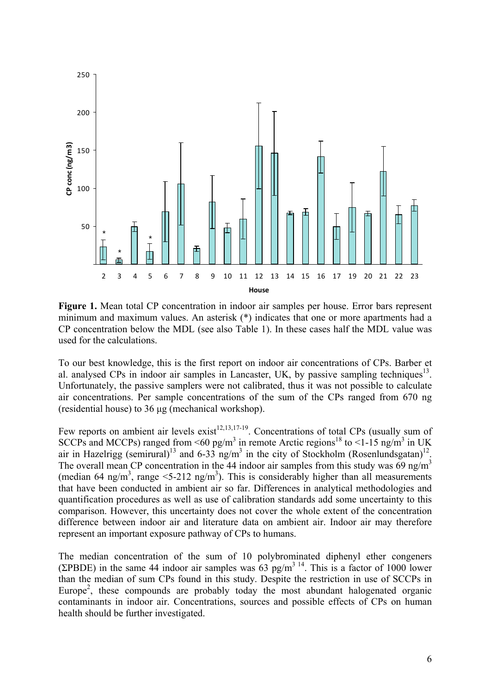

Figure 1. Mean total CP concentration in indoor air samples per house. Error bars represent minimum and maximum values. An asterisk (\*) indicates that one or more apartments had a CP concentration below the MDL (see also Table 1). In these cases half the MDL value was used for the calculations.

To our best knowledge, this is the first report on indoor air concentrations of CPs. Barber et al. analysed CPs in indoor air samples in Lancaster, UK, by passive sampling techniques<sup>13</sup>. Unfortunately, the passive samplers were not calibrated, thus it was not possible to calculate air concentrations. Per sample concentrations of the sum of the CPs ranged from 670 ng (residential house) to 36 μg (mechanical workshop).

Few reports on ambient air levels exist<sup>12,13,17-19</sup>. Concentrations of total CPs (usually sum of SCCPs and MCCPs) ranged from  $\leq 60$  pg/m<sup>3</sup> in remote Arctic regions<sup>18</sup> to  $\leq 1$ -15 ng/m<sup>3</sup> in UK air in Hazelrigg (semirural)<sup>13</sup> and 6-33 ng/m<sup>3</sup> in the city of Stockholm (Rosenlundsgatan)<sup>12</sup>. The overall mean CP concentration in the 44 indoor air samples from this study was 69 ng/m<sup>3</sup> (median 64 ng/m<sup>3</sup>, range <5-212 ng/m<sup>3</sup>). This is considerably higher than all measurements that have been conducted in ambient air so far. Differences in analytical methodologies and quantification procedures as well as use of calibration standards add some uncertainty to this comparison. However, this uncertainty does not cover the whole extent of the concentration difference between indoor air and literature data on ambient air. Indoor air may therefore represent an important exposure pathway of CPs to humans.

The median concentration of the sum of 10 polybrominated diphenyl ether congeners (ΣPBDE) in the same 44 indoor air samples was  $63$  pg/m<sup>3 14</sup>. This is a factor of 1000 lower than the median of sum CPs found in this study. Despite the restriction in use of SCCPs in Europe<sup>2</sup>, these compounds are probably today the most abundant halogenated organic contaminants in indoor air. Concentrations, sources and possible effects of CPs on human health should be further investigated.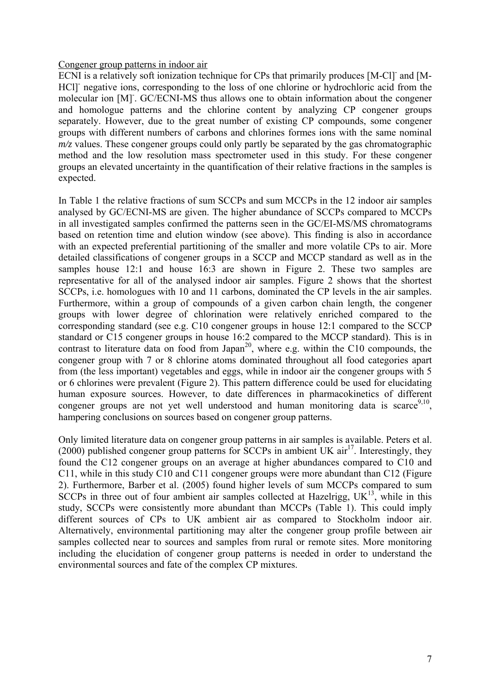#### Congener group patterns in indoor air

ECNI is a relatively soft ionization technique for CPs that primarily produces [M-Cl]- and [M-HCl] negative ions, corresponding to the loss of one chlorine or hydrochloric acid from the molecular ion [M]- . GC/ECNI-MS thus allows one to obtain information about the congener and homologue patterns and the chlorine content by analyzing CP congener groups separately. However, due to the great number of existing CP compounds, some congener groups with different numbers of carbons and chlorines formes ions with the same nominal *m/z* values. These congener groups could only partly be separated by the gas chromatographic method and the low resolution mass spectrometer used in this study. For these congener groups an elevated uncertainty in the quantification of their relative fractions in the samples is expected.

In Table 1 the relative fractions of sum SCCPs and sum MCCPs in the 12 indoor air samples analysed by GC/ECNI-MS are given. The higher abundance of SCCPs compared to MCCPs in all investigated samples confirmed the patterns seen in the GC/EI-MS/MS chromatograms based on retention time and elution window (see above). This finding is also in accordance with an expected preferential partitioning of the smaller and more volatile CPs to air. More detailed classifications of congener groups in a SCCP and MCCP standard as well as in the samples house 12:1 and house 16:3 are shown in Figure 2. These two samples are representative for all of the analysed indoor air samples. Figure 2 shows that the shortest SCCPs, i.e. homologues with 10 and 11 carbons, dominated the CP levels in the air samples. Furthermore, within a group of compounds of a given carbon chain length, the congener groups with lower degree of chlorination were relatively enriched compared to the corresponding standard (see e.g. C10 congener groups in house 12:1 compared to the SCCP standard or C15 congener groups in house 16:2 compared to the MCCP standard). This is in contrast to literature data on food from Japan<sup>20</sup>, where e.g. within the C10 compounds, the congener group with 7 or 8 chlorine atoms dominated throughout all food categories apart from (the less important) vegetables and eggs, while in indoor air the congener groups with 5 or 6 chlorines were prevalent (Figure 2). This pattern difference could be used for elucidating human exposure sources. However, to date differences in pharmacokinetics of different congener groups are not yet well understood and human monitoring data is scarce<sup>9,10</sup>, hampering conclusions on sources based on congener group patterns.

Only limited literature data on congener group patterns in air samples is available. Peters et al. (2000) published congener group patterns for SCCPs in ambient UK  $\arctan 17$ . Interestingly, they found the C12 congener groups on an average at higher abundances compared to C10 and C11, while in this study C10 and C11 congener groups were more abundant than C12 (Figure 2). Furthermore, Barber et al. (2005) found higher levels of sum MCCPs compared to sum SCCPs in three out of four ambient air samples collected at Hazelrigg,  $UK<sup>13</sup>$ , while in this study, SCCPs were consistently more abundant than MCCPs (Table 1). This could imply different sources of CPs to UK ambient air as compared to Stockholm indoor air. Alternatively, environmental partitioning may alter the congener group profile between air samples collected near to sources and samples from rural or remote sites. More monitoring including the elucidation of congener group patterns is needed in order to understand the environmental sources and fate of the complex CP mixtures.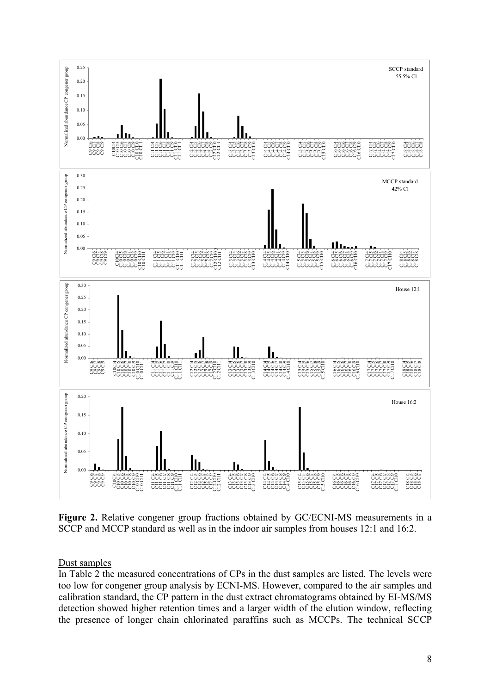

**Figure 2.** Relative congener group fractions obtained by GC/ECNI-MS measurements in a SCCP and MCCP standard as well as in the indoor air samples from houses 12:1 and 16:2.

Dust samples

In Table 2 the measured concentrations of CPs in the dust samples are listed. The levels were too low for congener group analysis by ECNI-MS. However, compared to the air samples and calibration standard, the CP pattern in the dust extract chromatograms obtained by EI-MS/MS detection showed higher retention times and a larger width of the elution window, reflecting the presence of longer chain chlorinated paraffins such as MCCPs. The technical SCCP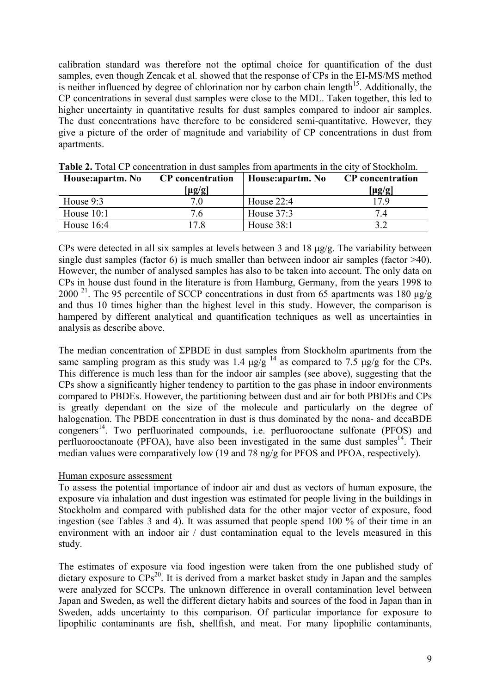calibration standard was therefore not the optimal choice for quantification of the dust samples, even though Zencak et al. showed that the response of CPs in the EI-MS/MS method is neither influenced by degree of chlorination nor by carbon chain length<sup>15</sup>. Additionally, the CP concentrations in several dust samples were close to the MDL. Taken together, this led to higher uncertainty in quantitative results for dust samples compared to indoor air samples. The dust concentrations have therefore to be considered semi-quantitative. However, they give a picture of the order of magnitude and variability of CP concentrations in dust from apartments.

| House: apartm. No | <b>CP</b> concentration | House: apartm. No | <b>CP</b> concentration |
|-------------------|-------------------------|-------------------|-------------------------|
|                   | $[\mu$ g/g]             |                   | $[\mu$ g/g]             |
| House $9:3$       | 7.0                     | House $22:4$      | 17 Q                    |
| House $10:1$      | 7.6                     | House $37:3$      | 74                      |
| House $16:4$      | 17 8                    | House $38:1$      |                         |

**Table 2.** Total CP concentration in dust samples from apartments in the city of Stockholm.

CPs were detected in all six samples at levels between 3 and 18 μg/g. The variability between single dust samples (factor 6) is much smaller than between indoor air samples (factor >40). However, the number of analysed samples has also to be taken into account. The only data on CPs in house dust found in the literature is from Hamburg, Germany, from the years 1998 to 2000<sup> $21$ </sup>. The 95 percentile of SCCP concentrations in dust from 65 apartments was 180  $\mu$ g/g and thus 10 times higher than the highest level in this study. However, the comparison is hampered by different analytical and quantification techniques as well as uncertainties in analysis as describe above.

The median concentration of ΣPBDE in dust samples from Stockholm apartments from the same sampling program as this study was 1.4  $\mu$ g/g<sup>14</sup> as compared to 7.5  $\mu$ g/g for the CPs. This difference is much less than for the indoor air samples (see above), suggesting that the CPs show a significantly higher tendency to partition to the gas phase in indoor environments compared to PBDEs. However, the partitioning between dust and air for both PBDEs and CPs is greatly dependant on the size of the molecule and particularly on the degree of halogenation. The PBDE concentration in dust is thus dominated by the nona- and decaBDE  $cong$   $\overline{C}$ <sup>14</sup>. Two perfluorinated compounds, i.e. perfluorooctane sulfonate (PFOS) and perfluorooctanoate (PFOA), have also been investigated in the same dust samples<sup>14</sup>. Their median values were comparatively low (19 and 78 ng/g for PFOS and PFOA, respectively).

## Human exposure assessment

To assess the potential importance of indoor air and dust as vectors of human exposure, the exposure via inhalation and dust ingestion was estimated for people living in the buildings in Stockholm and compared with published data for the other major vector of exposure, food ingestion (see Tables 3 and 4). It was assumed that people spend 100 % of their time in an environment with an indoor air / dust contamination equal to the levels measured in this study.

The estimates of exposure via food ingestion were taken from the one published study of dietary exposure to  $\text{CPs}^{20}$ . It is derived from a market basket study in Japan and the samples were analyzed for SCCPs. The unknown difference in overall contamination level between Japan and Sweden, as well the different dietary habits and sources of the food in Japan than in Sweden, adds uncertainty to this comparison. Of particular importance for exposure to lipophilic contaminants are fish, shellfish, and meat. For many lipophilic contaminants,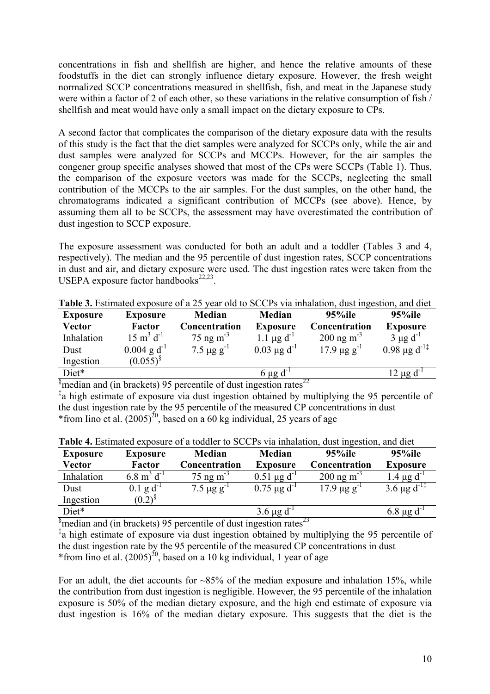concentrations in fish and shellfish are higher, and hence the relative amounts of these foodstuffs in the diet can strongly influence dietary exposure. However, the fresh weight normalized SCCP concentrations measured in shellfish, fish, and meat in the Japanese study were within a factor of 2 of each other, so these variations in the relative consumption of fish / shellfish and meat would have only a small impact on the dietary exposure to CPs.

A second factor that complicates the comparison of the dietary exposure data with the results of this study is the fact that the diet samples were analyzed for SCCPs only, while the air and dust samples were analyzed for SCCPs and MCCPs. However, for the air samples the congener group specific analyses showed that most of the CPs were SCCPs (Table 1). Thus, the comparison of the exposure vectors was made for the SCCPs, neglecting the small contribution of the MCCPs to the air samples. For the dust samples, on the other hand, the chromatograms indicated a significant contribution of MCCPs (see above). Hence, by assuming them all to be SCCPs, the assessment may have overestimated the contribution of dust ingestion to SCCP exposure.

The exposure assessment was conducted for both an adult and a toddler (Tables 3 and 4, respectively). The median and the 95 percentile of dust ingestion rates, SCCP concentrations in dust and air, and dietary exposure were used. The dust ingestion rates were taken from the USEPA exposure factor handbooks $22,23$ .

| <b>Exposure</b> | <b>Exposure</b>                 | <b>Median</b>           | Median                      | 95%ile                   | 95%ile              |
|-----------------|---------------------------------|-------------------------|-----------------------------|--------------------------|---------------------|
| Vector          | Factor                          | Concentration           | <b>Exposure</b>             | Concentration            | <b>Exposure</b>     |
| Inhalation      | $15 \text{ m}^3 \text{ d}^{-1}$ | $75$ ng m <sup>-3</sup> | 1.1 $\mu$ g d <sup>-1</sup> | $200$ ng m <sup>-3</sup> | $3 \mu g d^{-1}$    |
| Dust            | $0.004$ g d <sup>-1</sup>       | $7.5 \mu g g^{-1}$      | $0.03 \mu g d^{-1}$         | $17.9 \,\mu g g^{-1}$    | $0.98 \mu g d^{-1}$ |
| Ingestion       | $(0.055)^8$                     |                         |                             |                          |                     |
| Diet*           |                                 |                         | $6 \mu g d$                 |                          | $12 \mu g d^{-1}$   |

**Table 3.** Estimated exposure of a 25 year old to SCCPs via inhalation, dust ingestion, and diet

 $\frac{1}{2}$  median and (in brackets) 95 percentile of dust ingestion rates<sup>22</sup>

<sup>‡</sup>a high estimate of exposure via dust ingestion obtained by multiplying the 95 percentile of the dust ingestion rate by the 95 percentile of the measured CP concentrations in dust \*from Iino et al.  $(2005)^{20}$ , based on a 60 kg individual, 25 years of age

| <b>Exposure</b> | <b>Exposure</b>                  | <b>Median</b>               | <b>Median</b>       | $95\%$ ile              | 95%ile                       |
|-----------------|----------------------------------|-----------------------------|---------------------|-------------------------|------------------------------|
| Vector          | Factor                           | <b>Concentration</b>        | <b>Exposure</b>     | Concentration           | <b>Exposure</b>              |
| Inhalation      | $6.8 \text{ m}^3 \text{ d}^{-1}$ | $75$ ng m <sup>-3</sup>     | $0.51 \mu g d^{-1}$ | $200 \text{ ng m}^{-3}$ | $1.4 \mu g d^2$              |
| Dust            | $0.1$ g d <sup>-1</sup>          | 7.5 $\mu$ g g <sup>-1</sup> | $0.75 \mu g d^{-1}$ | $17.9 \,\mu g g^{-1}$   | 3.6 $\mu$ g d <sup>-1‡</sup> |
| Ingestion       | $(0.2)^{8}$                      |                             |                     |                         |                              |
| Diet*           |                                  |                             | $3.6 \mu g d^{-1}$  |                         | $6.8 \mu g d$                |

**Table 4.** Estimated exposure of a toddler to SCCPs via inhalation, dust ingestion, and diet

 $\frac{1}{2}$  median and (in brackets) 95 percentile of dust ingestion rates<sup>23</sup>

‡ a high estimate of exposure via dust ingestion obtained by multiplying the 95 percentile of the dust ingestion rate by the 95 percentile of the measured CP concentrations in dust \*from Iino et al.  $(2005)^{20}$ , based on a 10 kg individual, 1 year of age

For an adult, the diet accounts for  $\sim 85\%$  of the median exposure and inhalation 15%, while the contribution from dust ingestion is negligible. However, the 95 percentile of the inhalation exposure is 50% of the median dietary exposure, and the high end estimate of exposure via dust ingestion is 16% of the median dietary exposure. This suggests that the diet is the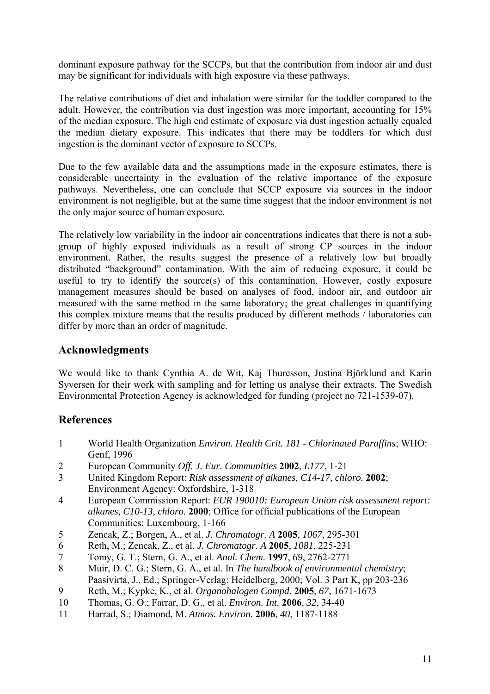dominant exposure pathway for the SCCPs, but that the contribution from indoor air and dust may be significant for individuals with high exposure via these pathways.

The relative contributions of diet and inhalation were similar for the toddler compared to the adult. However, the contribution via dust ingestion was more important, accounting for 15% of the median exposure. The high end estimate of exposure via dust ingestion actually equaled the median dietary exposure. This indicates that there may be toddlers for which dust ingestion is the dominant vector of exposure to SCCPs.

Due to the few available data and the assumptions made in the exposure estimates, there is considerable uncertainty in the evaluation of the relative importance of the exposure pathways. Nevertheless, one can conclude that SCCP exposure via sources in the indoor environment is not negligible, but at the same time suggest that the indoor environment is not the only major source of human exposure.

The relatively low variability in the indoor air concentrations indicates that there is not a subgroup of highly exposed individuals as a result of strong CP sources in the indoor environment. Rather, the results suggest the presence of a relatively low but broadly distributed "background" contamination. With the aim of reducing exposure, it could be useful to try to identify the source(s) of this contamination. However, costly exposure management measures should be based on analyses of food, indoor air, and outdoor air measured with the same method in the same laboratory; the great challenges in quantifying this complex mixture means that the results produced by different methods / laboratories can differ by more than an order of magnitude.

# **Acknowledgments**

We would like to thank Cynthia A. de Wit, Kaj Thuresson, Justina Björklund and Karin Syversen for their work with sampling and for letting us analyse their extracts. The Swedish Environmental Protection Agency is acknowledged for funding (project no 721-1539-07).

# **References**

- 1 World Health Organization *Environ. Health Crit. 181 Chlorinated Paraffins*; WHO: Genf, 1996
- 2 European Community *Off. J. Eur. Communities* **2002**, *L177*, 1-21
- 3 United Kingdom Report: *Risk assessment of alkanes, C14-17, chloro.* **2002**; Environment Agency: Oxfordshire, 1-318
- 4 European Commission Report: *EUR 190010: European Union risk assessment report: alkanes, C10-13, chloro.* **2000**; Office for official publications of the European Communities: Luxembourg, 1-166
- 5 Zencak, Z.; Borgen, A., et al. *J. Chromatogr. A* **2005**, *1067*, 295-301
- 6 Reth, M.; Zencak, Z., et al. *J. Chromatogr. A* **2005**, *1081*, 225-231
- 7 Tomy, G. T.; Stern, G. A., et al. *Anal. Chem.* **1997**, *69*, 2762-2771
- 8 Muir, D. C. G.; Stern, G. A., et al. In *The handbook of environmental chemistry*; Paasivirta, J., Ed.; Springer-Verlag: Heidelberg, 2000; Vol. 3 Part K, pp 203-236
- 9 Reth, M.; Kypke, K., et al. *Organohalogen Compd.* **2005**, *67*, 1671-1673
- 10 Thomas, G. O.; Farrar, D. G., et al. *Environ. Int.* **2006**, *32*, 34-40
- 11 Harrad, S.; Diamond, M. *Atmos. Environ.* **2006**, *40*, 1187-1188